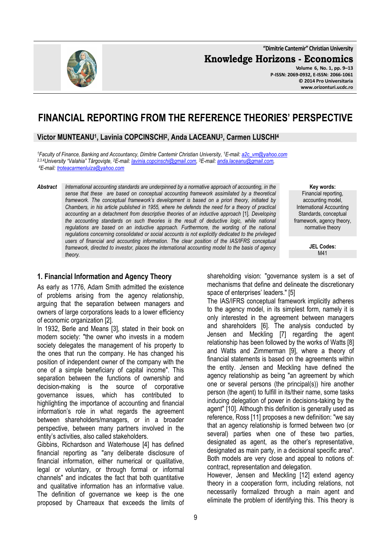**"Dimitrie Cantemir" Christian University**

**Knowledge Horizons - Economics Volume 6, No. 1, pp. 9–13** 



#### **© 2014 Pro Universitaria www.orizonturi.ucdc.ro**

# **FINANCIAL REPORTING FROM THE REFERENCE THEORIES' PERSPECTIVE**

# **Victor MUNTEANU<sup>1</sup> , Lavinia COPCINSCHI<sup>2</sup> , Anda LACEANU<sup>3</sup> , Carmen LUSCHI<sup>4</sup>**

*<sup>1</sup>Faculty of Finance, Banking and Accountancy, Dimitrie Cantemir Christian University, <sup>1</sup>E-mail: a2c\_vm@yahoo.com 2,3,4University "Valahia" Târgovişte, <sup>2</sup>E-mail: lavinia.copcinschi@gmail.com, <sup>3</sup>E-mail: anda.laceanu@gmail.com, <sup>4</sup>E-mail: troteacarmenluiza@yahoo.com*

*Abstract International accounting standards are underpinned by a normative approach of accounting, in the sense that these are based on conceptual accounting framework assimilated by a theoretical framework. The conceptual framework's development is based on a priori theory, initiated by Chambers, in his article published in 1955, where he defends the need for a theory of practical accounting an a detachment from descriptive theories of an inductive approach* [1]*. Developing the accounting standards on such theories is the result of deductive logic, while national* regulations are based on an inductive approach. Furthermore, the wording of the national *regulations concerning consolidated or social accounts is not explicitly dedicated to the privileged users of financial and accounting information. The clear position of the IAS/IFRS conceptual framework, directed to investor, places the international accounting model to the basis of agency theory.* 

#### **1. Financial Information and Agency Theory**

As early as 1776, Adam Smith admitted the existence of problems arising from the agency relationship, arguing that the separation between managers and owners of large corporations leads to a lower efficiency of economic organization [2].

In 1932, Berle and Means [3], stated in their book on modern society: "the owner who invests in a modern society delegates the management of his property to the ones that run the company. He has changed his position of independent owner of the company with the one of a simple beneficiary of capital income". This separation between the functions of ownership and decision-making is the source of corporative governance issues, which has contributed to highlighting the importance of accounting and financial information's role in what regards the agreement between shareholders/managers, or in a broader perspective, between many partners involved in the entity's activities, also called stakeholders.

Gibbins, Richardson and Waterhouse [4] has defined financial reporting as "any deliberate disclosure of financial information, either numerical or qualitative, legal or voluntary, or through formal or informal channels" and indicates the fact that both quantitative and qualitative information has an informative value. The definition of governance we keep is the one proposed by Charreaux that exceeds the limits of

**Key words:** Financial reporting, accounting model, International Accounting Standards, conceptual framework, agency theory, normative theory

> **JEL Codes:** M41

shareholding vision: "governance system is a set of mechanisms that define and delineate the discretionary space of enterprises' leaders." [5]

The IAS/IFRS conceptual framework implicitly adheres to the agency model, in its simplest form, namely it is only interested in the agreement between managers and shareholders [6]. The analysis conducted by Jensen and Meckling [7] regarding the agent relationship has been followed by the works of Watts [8] and Watts and Zimmerman [9], where a theory of financial statements is based on the agreements within the entity. Jensen and Meckling have defined the agency relationship as being "an agreement by which one or several persons (the principal(s)) hire another person (the agent) to fulfill in its/their name, some tasks inducing delegation of power in decisions-taking by the agent" [10]. Although this definition is generally used as reference, Ross [11] proposes a new definition: "we say that an agency relationship is formed between two (or several) parties when one of these two parties, designated as agent, as the other's representative, designated as main party, in a decisional specific area". Both models are very close and appeal to notions of: contract, representation and delegation.

However, Jensen and Meckling [12] extend agency theory in a cooperation form, including relations, not necessarily formalized through a main agent and eliminate the problem of identifying this. This theory is

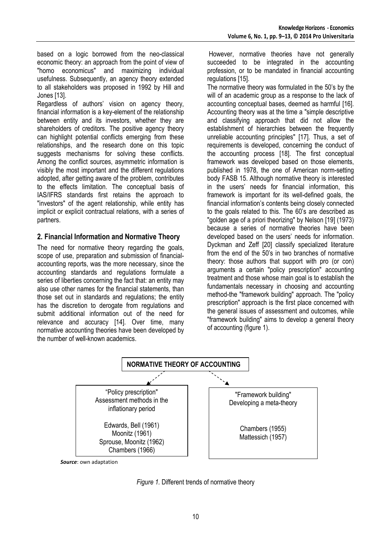based on a logic borrowed from the neo-classical economic theory: an approach from the point of view of "homo economicus" and maximizing individual usefulness. Subsequently, an agency theory extended to all stakeholders was proposed in 1992 by Hill and Jones [13].

Regardless of authors' vision on agency theory, financial information is a key-element of the relationship between entity and its investors, whether they are shareholders of creditors. The positive agency theory can highlight potential conflicts emerging from these relationships, and the research done on this topic suggests mechanisms for solving these conflicts. Among the conflict sources, asymmetric information is visibly the most important and the different regulations adopted, after getting aware of the problem, contributes to the effects limitation. The conceptual basis of IAS/IFRS standards first retains the approach to "investors" of the agent relationship, while entity has implicit or explicit contractual relations, with a series of partners.

### **2. Financial Information and Normative Theory**

The need for normative theory regarding the goals, scope of use, preparation and submission of financialaccounting reports, was the more necessary, since the accounting standards and regulations formulate a series of liberties concerning the fact that: an entity may also use other names for the financial statements, than those set out in standards and regulations; the entity has the discretion to derogate from regulations and submit additional information out of the need for relevance and accuracy [14]. Over time, many normative accounting theories have been developed by the number of well-known academics.

 However, normative theories have not generally succeeded to be integrated in the accounting profession, or to be mandated in financial accounting regulations [15].

The normative theory was formulated in the 50's by the will of an academic group as a response to the lack of accounting conceptual bases, deemed as harmful [16]. Accounting theory was at the time a "simple descriptive and classifying approach that did not allow the establishment of hierarchies between the frequently unreliable accounting principles" [17]. Thus, a set of requirements is developed, concerning the conduct of the accounting process [18]. The first conceptual framework was developed based on those elements, published in 1978, the one of American norm-setting body FASB 15. Although normative theory is interested in the users' needs for financial information, this framework is important for its well-defined goals, the financial information's contents being closely connected to the goals related to this. The 60's are described as "golden age of a priori theorizing" by Nelson [19] (1973) because a series of normative theories have been developed based on the users' needs for information. Dyckman and Zeff [20] classify specialized literature from the end of the 50's in two branches of normative theory: those authors that support with pro (or con) arguments a certain "policy prescription" accounting treatment and those whose main goal is to establish the fundamentals necessary in choosing and accounting method-the "framework building" approach. The "policy prescription" approach is the first place concerned with the general issues of assessment and outcomes, while "framework building" aims to develop a general theory of accounting (figure 1).



*Source*: own adaptation

*Figure 1.* Different trends of normative theory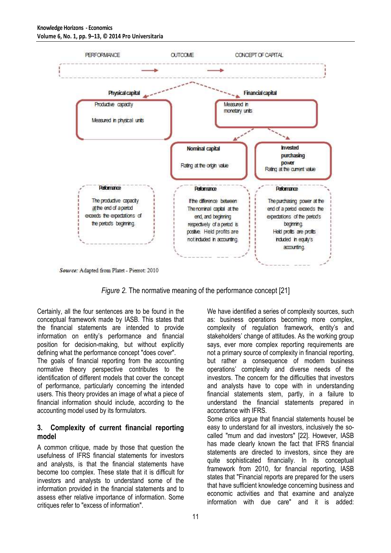

Source: Adapted from Platet - Pierrot: 2010

*Figure 2.* The normative meaning of the performance concept [21]

Certainly, all the four sentences are to be found in the conceptual framework made by IASB. This states that the financial statements are intended to provide information on entity's performance and financial position for decision-making, but without explicitly defining what the performance concept "does cover".

The goals of financial reporting from the accounting normative theory perspective contributes to the identification of different models that cover the concept of performance, particularly concerning the intended users. This theory provides an image of what a piece of financial information should include, according to the accounting model used by its formulators.

### **3. Complexity of current financial reporting model**

A common critique, made by those that question the usefulness of IFRS financial statements for investors and analysts, is that the financial statements have become too complex. These state that it is difficult for investors and analysts to understand some of the information provided in the financial statements and to assess ether relative importance of information. Some critiques refer to "excess of information".

We have identified a series of complexity sources, such as: business operations becoming more complex, complexity of regulation framework, entity's and stakeholders' change of attitudes. As the working group says, ever more complex reporting requirements are not a primary source of complexity in financial reporting, but rather a consequence of modern business operations' complexity and diverse needs of the investors. The concern for the difficulties that investors and analysts have to cope with in understanding financial statements stem, partly, in a failure to understand the financial statements prepared in accordance with IFRS.

Some critics argue that financial statements housel be easy to understand for all investors, inclusively the socalled "mum and dad investors" [22]. However, IASB has made clearly known the fact that IFRS financial statements are directed to investors, since they are quite sophisticated financially. In its conceptual framework from 2010, for financial reporting, IASB states that "Financial reports are prepared for the users that have sufficient knowledge concerning business and economic activities and that examine and analyze information with due care" and it is added: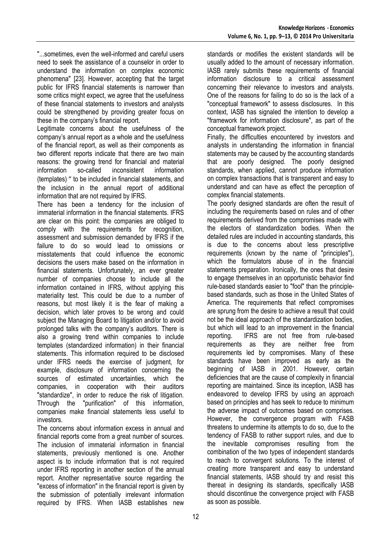"...sometimes, even the well-informed and careful users need to seek the assistance of a counselor in order to understand the information on complex economic phenomena" [23]. However, accepting that the target public for IFRS financial statements is narrower than some critics might expect, we agree that the usefulness of these financial statements to investors and analysts could be strengthened by providing greater focus on these in the company's financial report.

Legitimate concerns about the usefulness of the company's annual report as a whole and the usefulness of the financial report, as well as their components as two different reports indicate that there are two main reasons: the growing trend for financial and material information so-called inconsistent information (templates) ˮ to be included in financial statements, and the inclusion in the annual report of additional information that are not required by IFRS.

There has been a tendency for the inclusion of immaterial information in the financial statements. IFRS are clear on this point: the companies are obliged to comply with the requirements for recognition, assessment and submission demanded by IFRS if the failure to do so would lead to omissions or misstatements that could influence the economic decisions the users make based on the information in financial statements. Unfortunately, an ever greater number of companies choose to include all the information contained in IFRS, without applying this materiality test. This could be due to a number of reasons, but most likely it is the fear of making a decision, which later proves to be wrong and could subject the Managing Board to litigation and/or to avoid prolonged talks with the company's auditors. There is also a growing trend within companies to include templates (standardized information) in their financial statements. This information required to be disclosed under IFRS needs the exercise of judgment, for example, disclosure of information concerning the sources of estimated uncertainties, which the companies, in cooperation with their auditors "standardize", in order to reduce the risk of litigation. Through the "purification" of this information, companies make financial statements less useful to investors.

The concerns about information excess in annual and financial reports come from a great number of sources. The inclusion of immaterial information in financial statements, previously mentioned is one. Another aspect is to include information that is not required under IFRS reporting in another section of the annual report. Another representative source regarding the "excess of information" in the financial report is given by the submission of potentially irrelevant information required by IFRS. When IASB establishes new

standards or modifies the existent standards will be usually added to the amount of necessary information. IASB rarely submits these requirements of financial information disclosure to a critical assessment concerning their relevance to investors and analysts. One of the reasons for failing to do so is the lack of a "conceptual framework" to assess disclosures. In this context, IASB has signaled the intention to develop a "framework for information disclosure", as part of the conceptual framework project.

Finally, the difficulties encountered by investors and analysts in understanding the information in financial statements may be caused by the accounting standards that are poorly designed. The poorly designed standards, when applied, cannot produce information on complex transactions that is transparent and easy to understand and can have as effect the perception of complex financial statements.

The poorly designed standards are often the result of including the requirements based on rules and of other requirements derived from the compromises made with the electors of standardization bodies. When the detailed rules are included in accounting standards, this is due to the concerns about less prescriptive requirements (known by the name of "principles"), which the formulators abuse of in the financial statements preparation. Ironically, the ones that desire to engage themselves in an opportunistic behavior find rule-based standards easier to "fool" than the principlebased standards, such as those in the United States of America. The requirements that reflect compromises are sprung from the desire to achieve a result that could not be the ideal approach of the standardization bodies, but which will lead to an improvement in the financial reporting. IFRS are not free from rule-based requirements as they are neither free from requirements led by compromises. Many of these standards have been improved as early as the beginning of IASB in 2001. However, certain deficiencies that are the cause of complexity in financial reporting are maintained. Since its inception, IASB has endeavored to develop IFRS by using an approach based on principles and has seek to reduce to minimum the adverse impact of outcomes based on comprises. However, the convergence program with FASB threatens to undermine its attempts to do so, due to the tendency of FASB to rather support rules, and due to the inevitable compromises resulting from the combination of the two types of independent standards to reach to convergent solutions. To the interest of creating more transparent and easy to understand financial statements, IASB should try and resist this thereat in designing its standards, specifically IASB should discontinue the convergence project with FASB as soon as possible.